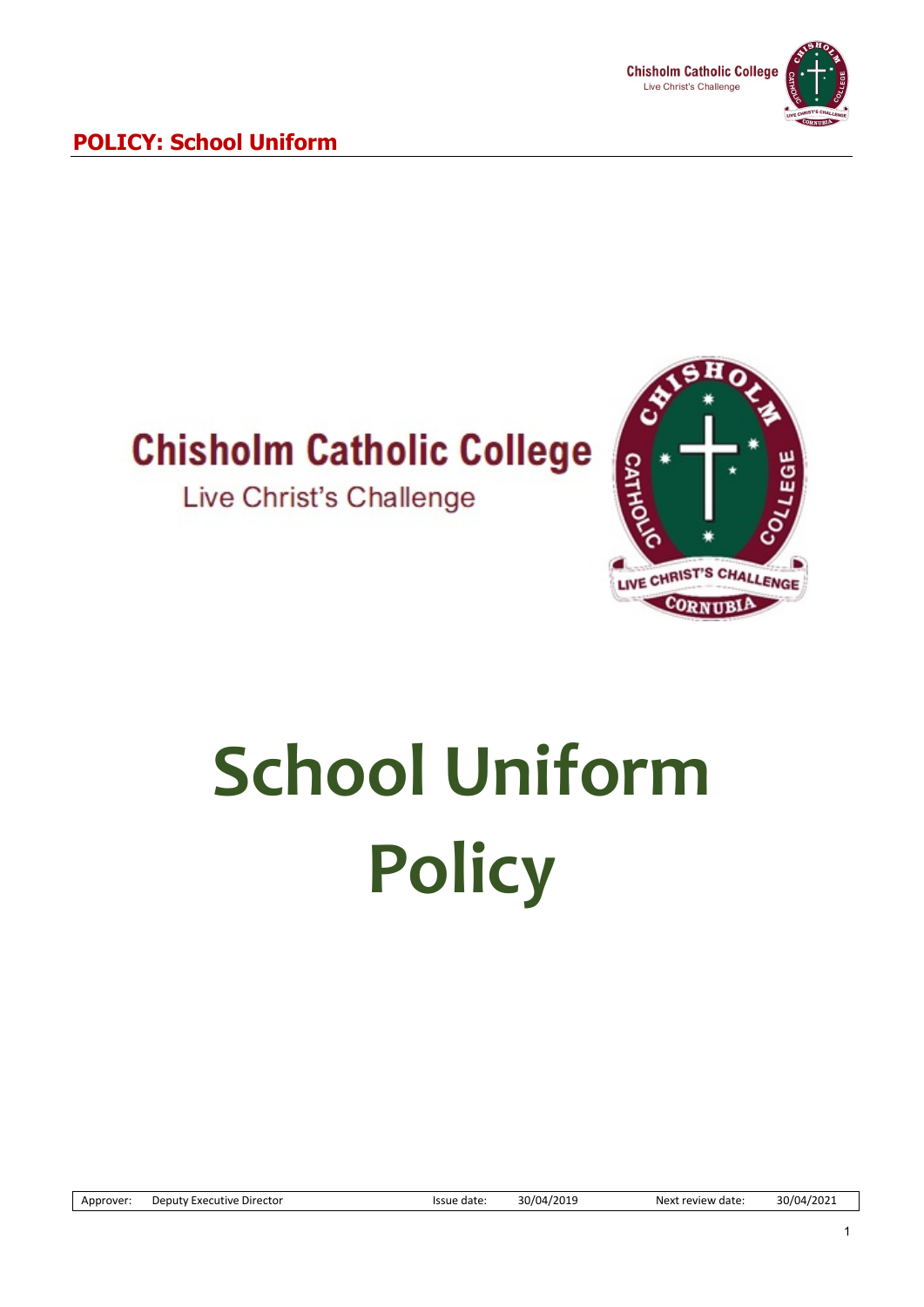

## **Chisholm Catholic College**

Live Christ's Challenge



# **School Uniform Policy**

Approver: Deputy Executive Director **Issue date:** 30/04/2019 Next review date: 30/04/2021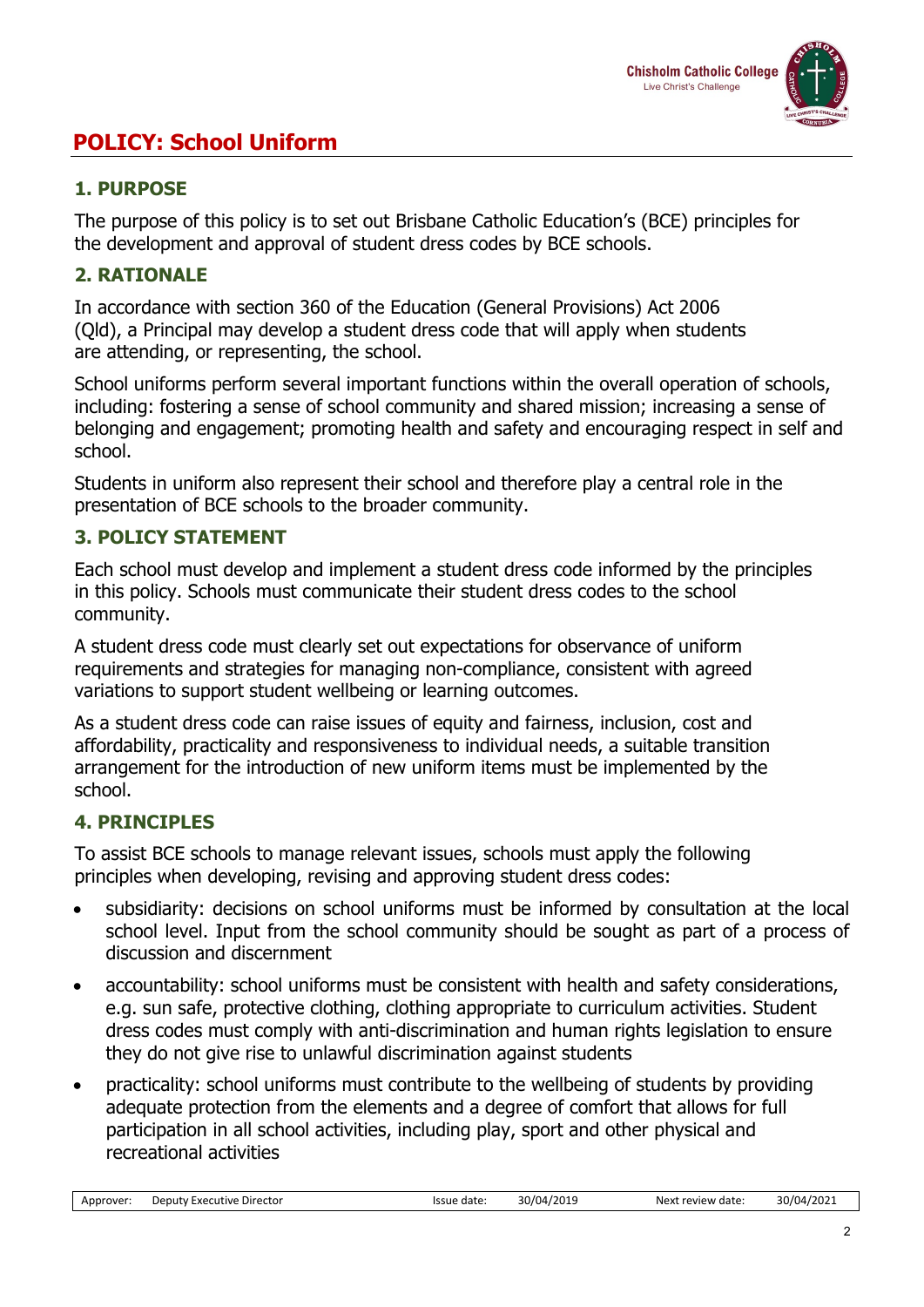

#### **1. PURPOSE**

The purpose of this policy is to set out Brisbane Catholic Education's (BCE) principles for the development and approval of student dress codes by BCE schools.

#### **2. RATIONALE**

In accordance with section 360 of the Education (General Provisions) Act 2006 (Qld), a Principal may develop a student dress code that will apply when students are attending, or representing, the school.

School uniforms perform several important functions within the overall operation of schools, including: fostering a sense of school community and shared mission; increasing a sense of belonging and engagement; promoting health and safety and encouraging respect in self and school.

Students in uniform also represent their school and therefore play a central role in the presentation of BCE schools to the broader community.

#### **3. POLICY STATEMENT**

Each school must develop and implement a student dress code informed by the principles in this policy. Schools must communicate their student dress codes to the school community.

A student dress code must clearly set out expectations for observance of uniform requirements and strategies for managing non-compliance, consistent with agreed variations to support student wellbeing or learning outcomes.

As a student dress code can raise issues of equity and fairness, inclusion, cost and affordability, practicality and responsiveness to individual needs, a suitable transition arrangement for the introduction of new uniform items must be implemented by the school.

#### **4. PRINCIPLES**

To assist BCE schools to manage relevant issues, schools must apply the following principles when developing, revising and approving student dress codes:

- subsidiarity: decisions on school uniforms must be informed by consultation at the local school level. Input from the school community should be sought as part of a process of discussion and discernment
- accountability: school uniforms must be consistent with health and safety considerations, e.g. sun safe, protective clothing, clothing appropriate to curriculum activities. Student dress codes must comply with anti-discrimination and human rights legislation to ensure they do not give rise to unlawful discrimination against students
- practicality: school uniforms must contribute to the wellbeing of students by providing adequate protection from the elements and a degree of comfort that allows for full participation in all school activities, including play, sport and other physical and recreational activities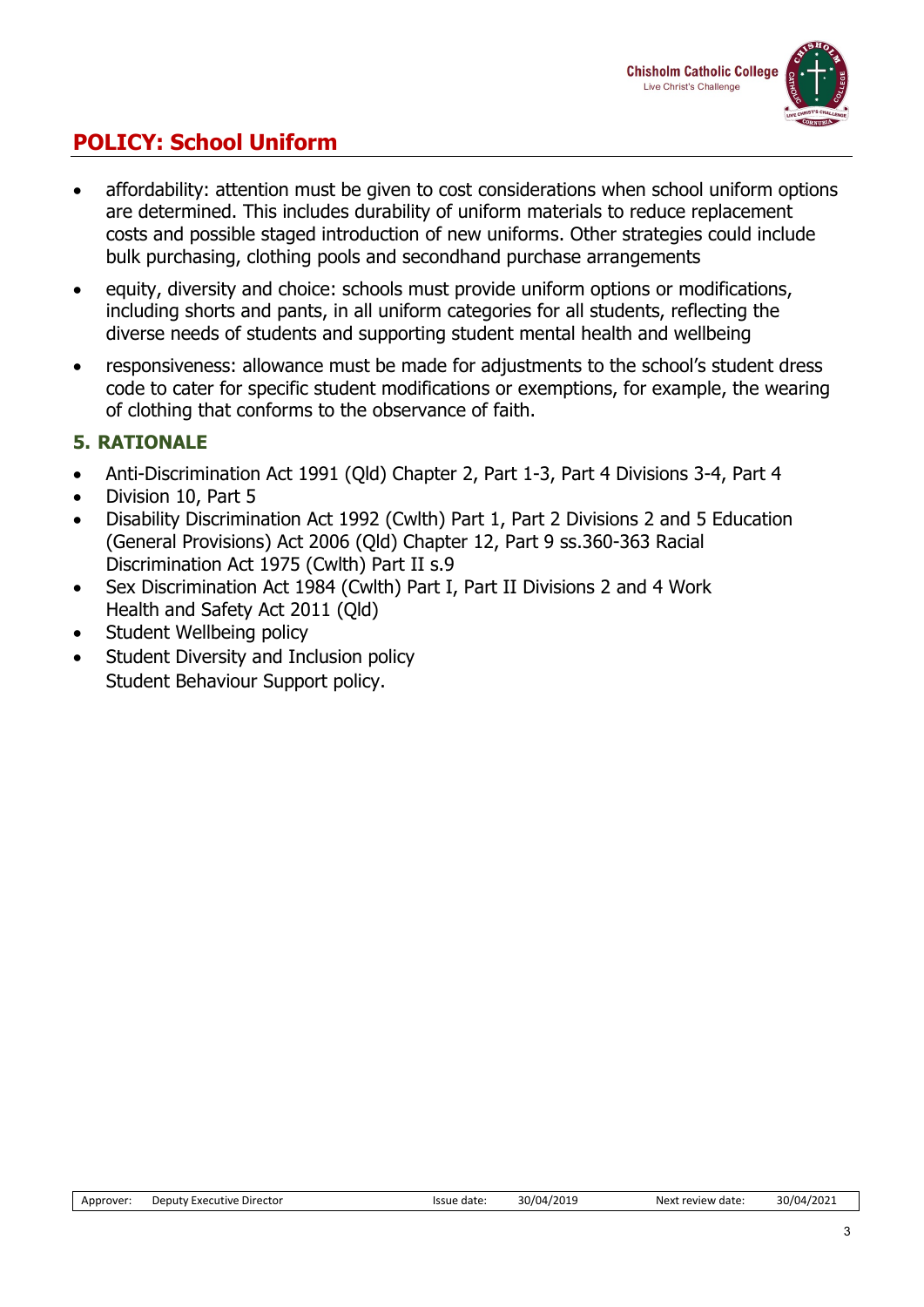

- affordability: attention must be given to cost considerations when school uniform options are determined. This includes durability of uniform materials to reduce replacement costs and possible staged introduction of new uniforms. Other strategies could include bulk purchasing, clothing pools and secondhand purchase arrangements
- equity, diversity and choice: schools must provide uniform options or modifications, including shorts and pants, in all uniform categories for all students, reflecting the diverse needs of students and supporting student mental health and wellbeing
- responsiveness: allowance must be made for adjustments to the school's student dress code to cater for specific student modifications or exemptions, for example, the wearing of clothing that conforms to the observance of faith.

#### **5. RATIONALE**

- Anti-Discrimination Act 1991 (Qld) Chapter 2, Part 1-3, Part 4 Divisions 3-4, Part 4
- Division 10, Part 5
- Disability Discrimination Act 1992 (Cwlth) Part 1, Part 2 Divisions 2 and 5 Education (General Provisions) Act 2006 (Qld) Chapter 12, Part 9 ss.360-363 Racial Discrimination Act 1975 (Cwlth) Part II s.9
- Sex Discrimination Act 1984 (Cwlth) Part I, Part II Divisions 2 and 4 Work Health and Safety Act 2011 (Qld)
- Student Wellbeing policy
- Student Diversity and Inclusion policy Student Behaviour Support policy.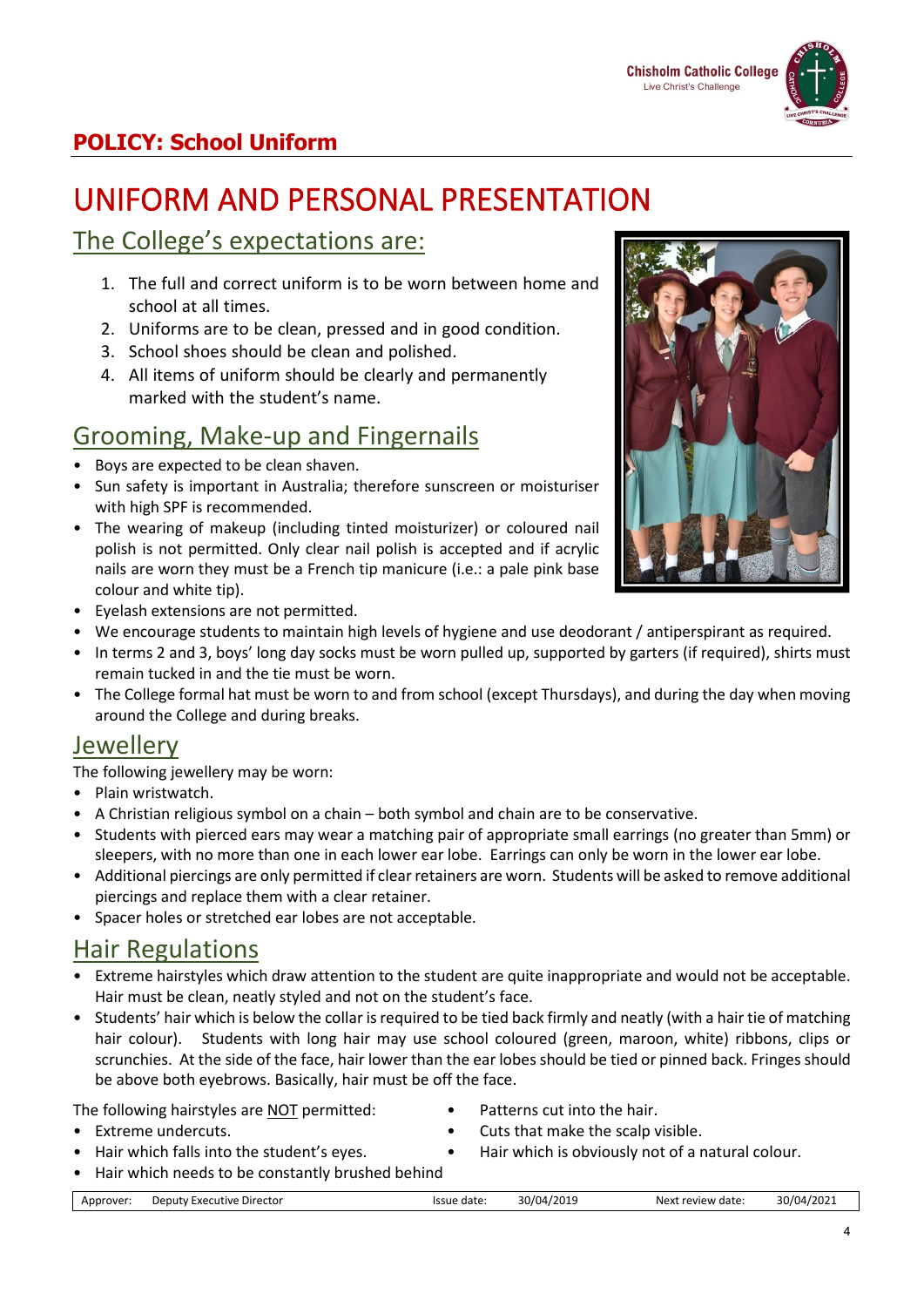## UNIFORM AND PERSONAL PRESENTATION

### The College's expectations are:

- 1. The full and correct uniform is to be worn between home and school at all times.
- 2. Uniforms are to be clean, pressed and in good condition.
- 3. School shoes should be clean and polished.
- 4. All items of uniform should be clearly and permanently marked with the student's name.

#### Grooming, Make-up and Fingernails

- Boys are expected to be clean shaven.
- Sun safety is important in Australia; therefore sunscreen or moisturiser with high SPF is recommended.
- The wearing of makeup (including tinted moisturizer) or coloured nail polish is not permitted. Only clear nail polish is accepted and if acrylic nails are worn they must be a French tip manicure (i.e.: a pale pink base colour and white tip).



- Eyelash extensions are not permitted.
- We encourage students to maintain high levels of hygiene and use deodorant / antiperspirant as required.
- In terms 2 and 3, boys' long day socks must be worn pulled up, supported by garters (if required), shirts must remain tucked in and the tie must be worn.
- The College formal hat must be worn to and from school (except Thursdays), and during the day when moving around the College and during breaks.

#### Jewellery

The following jewellery may be worn:

- Plain wristwatch.
- A Christian religious symbol on a chain both symbol and chain are to be conservative.
- Students with pierced ears may wear a matching pair of appropriate small earrings (no greater than 5mm) or sleepers, with no more than one in each lower ear lobe. Earrings can only be worn in the lower ear lobe.
- Additional piercings are only permitted if clear retainers are worn. Students will be asked to remove additional piercings and replace them with a clear retainer.
- Spacer holes or stretched ear lobes are not acceptable.

#### Hair Regulations

- Extreme hairstyles which draw attention to the student are quite inappropriate and would not be acceptable. Hair must be clean, neatly styled and not on the student's face.
- Students' hair which is below the collar is required to be tied back firmly and neatly (with a hair tie of matching hair colour). Students with long hair may use school coloured (green, maroon, white) ribbons, clips or scrunchies. At the side of the face, hair lower than the ear lobes should be tied or pinned back. Fringes should be above both eyebrows. Basically, hair must be off the face.

The following hairstyles are **NOT** permitted: • Patterns cut into the hair.

- 
- Extreme undercuts. Cuts that make the scalp visible.
- Hair which falls into the student's eyes. Hair which is obviously not of a natural colour.
- Hair which needs to be constantly brushed behind

|  | Approver <sup>.</sup> | Deputy Executive Director | Issue date | 30/04/2019 | Next review date: | 30/04/2021 |
|--|-----------------------|---------------------------|------------|------------|-------------------|------------|
|--|-----------------------|---------------------------|------------|------------|-------------------|------------|

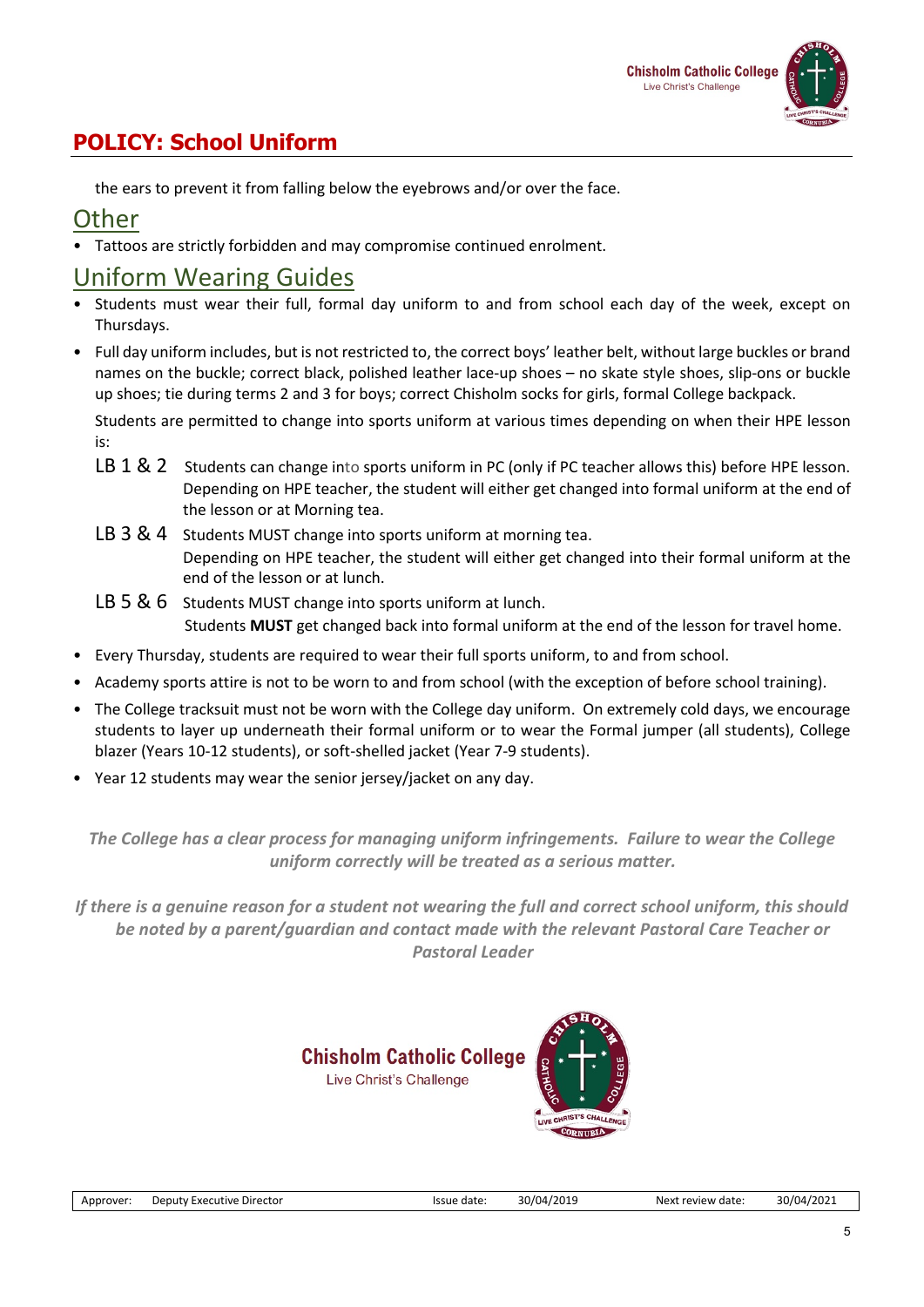

the ears to prevent it from falling below the eyebrows and/or over the face.

#### **Other**

• Tattoos are strictly forbidden and may compromise continued enrolment.

#### Uniform Wearing Guides

- Students must wear their full, formal day uniform to and from school each day of the week, except on Thursdays.
- Full day uniform includes, but is not restricted to, the correct boys' leather belt, without large buckles or brand names on the buckle; correct black, polished leather lace-up shoes – no skate style shoes, slip-ons or buckle up shoes; tie during terms 2 and 3 for boys; correct Chisholm socks for girls, formal College backpack.

Students are permitted to change into sports uniform at various times depending on when their HPE lesson is:

- LB 1 & 2 Students can change into sports uniform in PC (only if PC teacher allows this) before HPE lesson. Depending on HPE teacher, the student will either get changed into formal uniform at the end of the lesson or at Morning tea.
- LB 3 & 4 Students MUST change into sports uniform at morning tea. Depending on HPE teacher, the student will either get changed into their formal uniform at the end of the lesson or at lunch.
- LB 5 & 6 Students MUST change into sports uniform at lunch. Students **MUST** get changed back into formal uniform at the end of the lesson for travel home.
- Every Thursday, students are required to wear their full sports uniform, to and from school.
- Academy sports attire is not to be worn to and from school (with the exception of before school training).
- The College tracksuit must not be worn with the College day uniform. On extremely cold days, we encourage students to layer up underneath their formal uniform or to wear the Formal jumper (all students), College blazer (Years 10-12 students), or soft-shelled jacket (Year 7-9 students).
- Year 12 students may wear the senior jersey/jacket on any day.

*The College has a clear process for managing uniform infringements. Failure to wear the College uniform correctly will be treated as a serious matter.*

*If there is a genuine reason for a student not wearing the full and correct school uniform, this should be noted by a parent/guardian and contact made with the relevant Pastoral Care Teacher or Pastoral Leader*



**IST'S CHALL**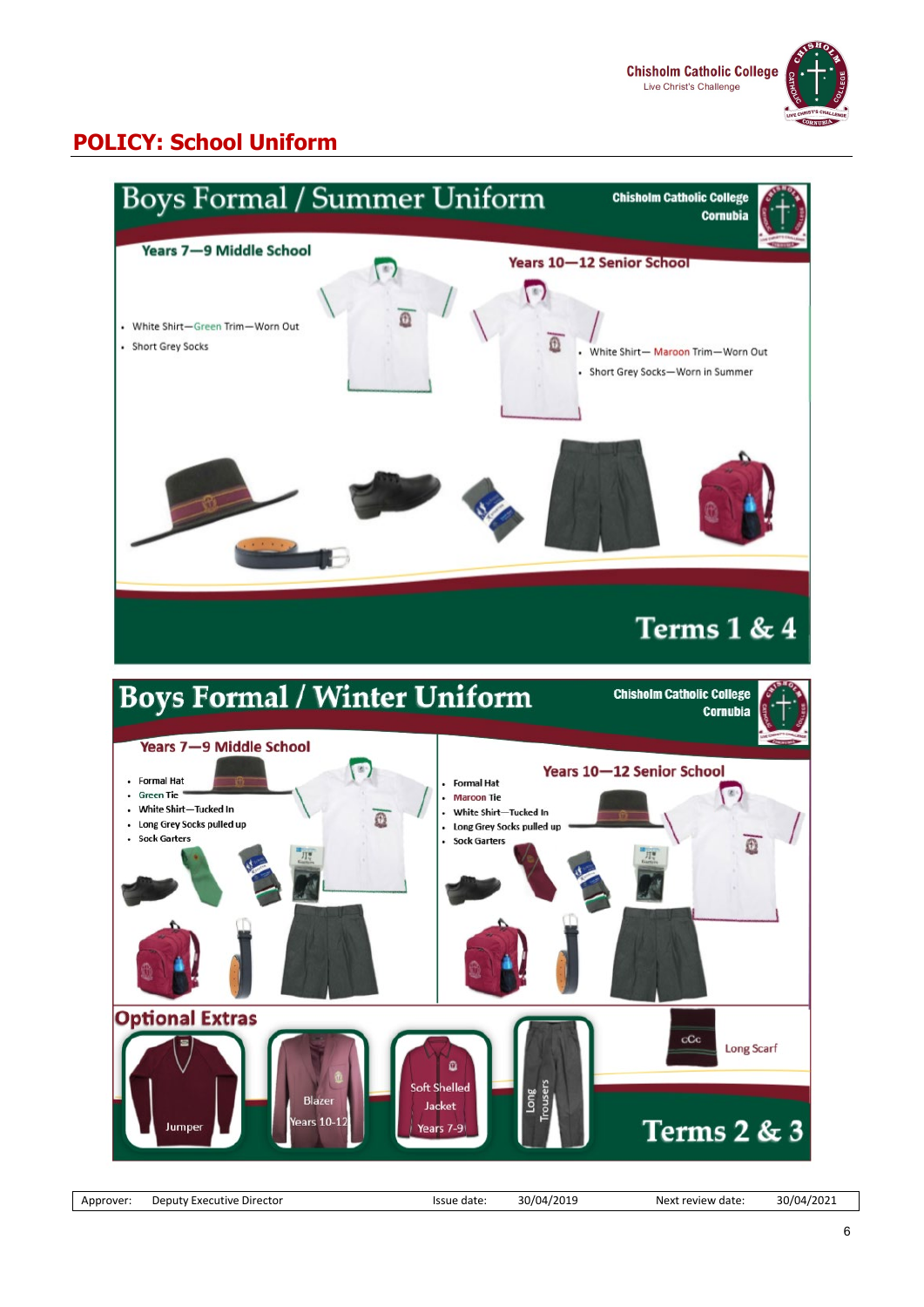



Approver: Deputy Executive Director **Internative and Server Approver:** Deputy Executive Director Internative Issue date: 30/04/2021 Next review date: 30/04/2021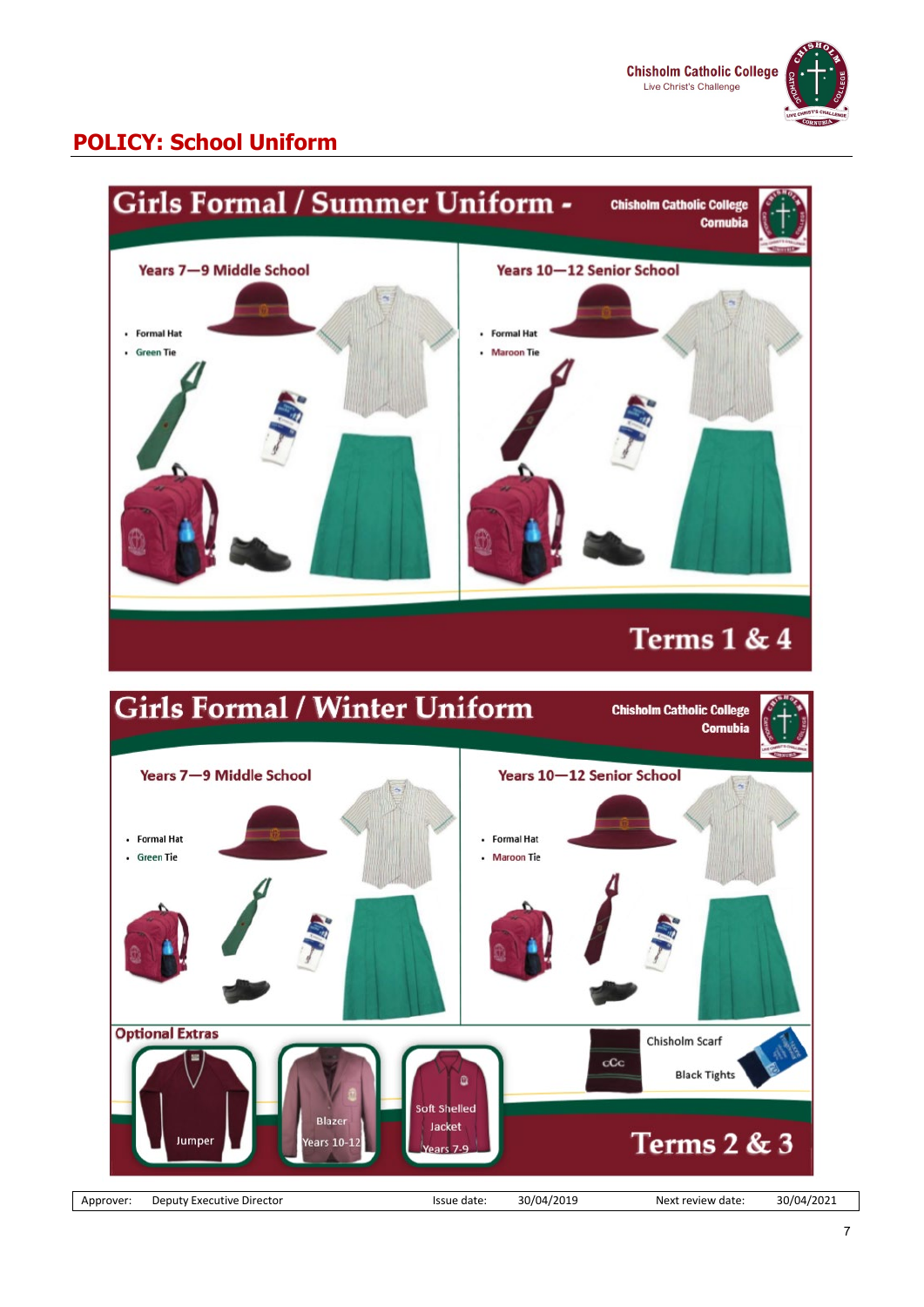